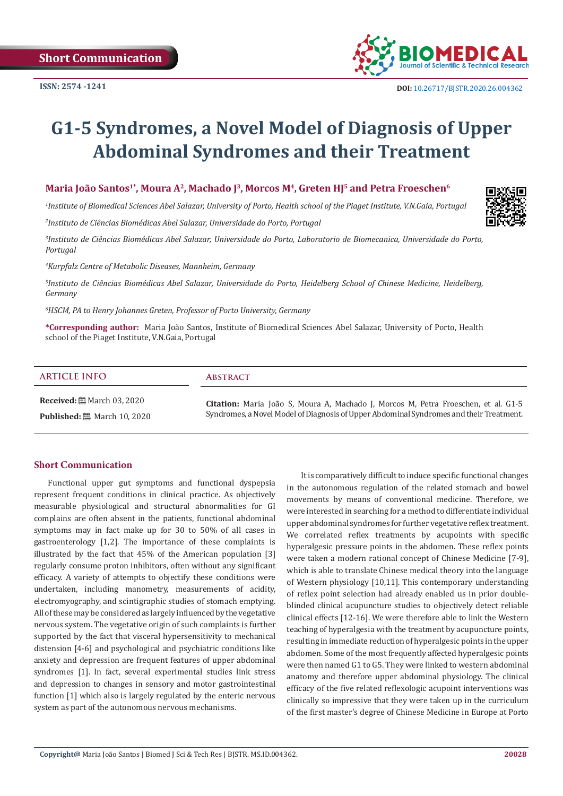#### **Short Communication**

Functional upper gut symptoms and functional dyspepsia represent frequent conditions in clinical practice. As objectively measurable physiological and structural abnormalities for GI complains are often absent in the patients, functional abdominal symptoms may in fact make up for 30 to 50% of all cases in gastroenterology [1,2]. The importance of these complaints is illustrated by the fact that 45% of the American population [3] regularly consume proton inhibitors, often without any significant efficacy. A variety of attempts to objectify these conditions were undertaken, including manometry, measurements of acidity, electromyography, and scintigraphic studies of stomach emptying. All of these may be considered as largely influenced by the vegetative nervous system. The vegetative origin of such complaints is further supported by the fact that visceral hypersensitivity to mechanical distension [4-6] and psychological and psychiatric conditions like anxiety and depression are frequent features of upper abdominal syndromes [1]. In fact, several experimental studies link stress and depression to changes in sensory and motor gastrointestinal function [1] which also is largely regulated by the enteric nervous system as part of the autonomous nervous mechanisms.

It is comparatively difficult to induce specific functional changes in the autonomous regulation of the related stomach and bowel movements by means of conventional medicine. Therefore, we were interested in searching for a method to differentiate individual upper abdominal syndromes for further vegetative reflex treatment. We correlated reflex treatments by acupoints with specific hyperalgesic pressure points in the abdomen. These reflex points were taken a modern rational concept of Chinese Medicine [7-9], which is able to translate Chinese medical theory into the language of Western physiology [10,11]. This contemporary understanding of reflex point selection had already enabled us in prior doubleblinded clinical acupuncture studies to objectively detect reliable clinical effects [12-16]. We were therefore able to link the Western teaching of hyperalgesia with the treatment by acupuncture points, resulting in immediate reduction of hyperalgesic points in the upper abdomen. Some of the most frequently affected hyperalgesic points were then named G1 to G5. They were linked to western abdominal anatomy and therefore upper abdominal physiology. The clinical efficacy of the five related reflexologic acupoint interventions was clinically so impressive that they were taken up in the curriculum of the first master's degree of Chinese Medicine in Europe at Porto

**Received:** March 03, 2020

**Published:** ■ March 10, 2020

**Citation:** Maria João S, Moura A, Machado J, Morcos M, Petra Froeschen, et al. G1-5 Syndromes, a Novel Model of Diagnosis of Upper Abdominal Syndromes and their Treatment.

# **Maria João Santos<sup>1\*</sup>, Moura A<sup>2</sup>, Machado J<sup>3</sup>, Morcos M<sup>4</sup>, Greten HJ<sup>5</sup> and Petra Froeschen<sup>6</sup>**

*1 Institute of Biomedical Sciences Abel Salazar, University of Porto, Health school of the Piaget Institute, V.N.Gaia, Portugal*

*2 Instituto de Ciências Biomédicas Abel Salazar, Universidade do Porto, Portugal*

*3 Instituto de Ciências Biomédicas Abel Salazar, Universidade do Porto, Laboratorio de Biomecanica, Universidade do Porto,* 

*4 Kurpfalz Centre of Metabolic Diseases, Mannheim, Germany*

*5 Instituto de Ciências Biomédicas Abel Salazar, Universidade do Porto, Heidelberg School of Chinese Medicine, Heidelberg,* 

*6 HSCM, PA to Henry Johannes Greten, Professor of Porto University, Germany*

**\*Corresponding author:** Maria João Santos, Institute of Biomedical Sciences Abel Salazar, University of Porto, Health school of the Piaget Institute, V.N.Gaia, Portugal

**G1-5 Syndromes, a Novel Model of Diagnosis of Upper** 

**Abdominal Syndromes and their Treatment**

*Portugal*

*Germany*

**ISSN: 2574 -1241**



 **DOI:** [10.26717/BJSTR.2020.26.004362](http://dx.doi.org/10.26717/BJSTR.2020.26.004362)



# **ARTICLE INFO Abstract**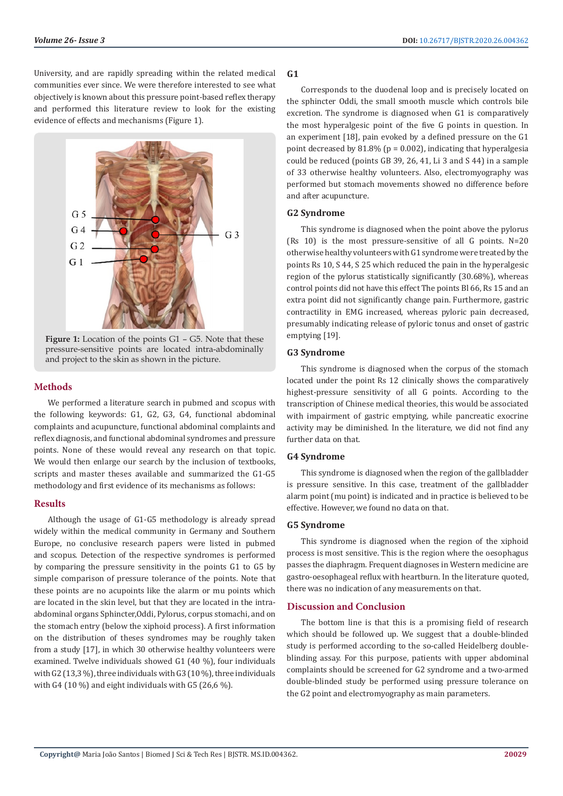University, and are rapidly spreading within the related medical communities ever since. We were therefore interested to see what objectively is known about this pressure point-based reflex therapy and performed this literature review to look for the existing evidence of effects and mechanisms (Figure 1).



**Figure 1:** Location of the points G1 – G5. Note that these pressure-sensitive points are located intra-abdominally and project to the skin as shown in the picture.

# **Methods**

We performed a literature search in pubmed and scopus with the following keywords: G1, G2, G3, G4, functional abdominal complaints and acupuncture, functional abdominal complaints and reflex diagnosis, and functional abdominal syndromes and pressure points. None of these would reveal any research on that topic. We would then enlarge our search by the inclusion of textbooks. scripts and master theses available and summarized the G1-G5 methodology and first evidence of its mechanisms as follows:

### **Results**

Although the usage of G1-G5 methodology is already spread widely within the medical community in Germany and Southern Europe, no conclusive research papers were listed in pubmed and scopus. Detection of the respective syndromes is performed by comparing the pressure sensitivity in the points G1 to G5 by simple comparison of pressure tolerance of the points. Note that these points are no acupoints like the alarm or mu points which are located in the skin level, but that they are located in the intraabdominal organs Sphincter,Oddi, Pylorus, corpus stomachi, and on the stomach entry (below the xiphoid process). A first information on the distribution of theses syndromes may be roughly taken from a study [17], in which 30 otherwise healthy volunteers were examined. Twelve individuals showed G1 (40 %), four individuals with G2 (13,3 %), three individuals with G3 (10 %), three individuals with G4 (10 %) and eight individuals with G5 (26,6 %).

# **G1**

Corresponds to the duodenal loop and is precisely located on the sphincter Oddi, the small smooth muscle which controls bile excretion. The syndrome is diagnosed when G1 is comparatively the most hyperalgesic point of the five G points in question. In an experiment [18], pain evoked by a defined pressure on the G1 point decreased by  $81.8\%$  (p = 0.002), indicating that hyperalgesia could be reduced (points GB 39, 26, 41, Li 3 and S 44) in a sample of 33 otherwise healthy volunteers. Also, electromyography was performed but stomach movements showed no difference before and after acupuncture.

# **G2 Syndrome**

This syndrome is diagnosed when the point above the pylorus (Rs 10) is the most pressure-sensitive of all G points. N=20 otherwise healthy volunteers with G1 syndrome were treated by the points Rs 10, S 44, S 25 which reduced the pain in the hyperalgesic region of the pylorus statistically significantly (30.68%), whereas control points did not have this effect The points Bl 66, Rs 15 and an extra point did not significantly change pain. Furthermore, gastric contractility in EMG increased, whereas pyloric pain decreased, presumably indicating release of pyloric tonus and onset of gastric emptying [19].

### **G3 Syndrome**

This syndrome is diagnosed when the corpus of the stomach located under the point Rs 12 clinically shows the comparatively highest-pressure sensitivity of all G points. According to the transcription of Chinese medical theories, this would be associated with impairment of gastric emptying, while pancreatic exocrine activity may be diminished. In the literature, we did not find any further data on that.

### **G4 Syndrome**

This syndrome is diagnosed when the region of the gallbladder is pressure sensitive. In this case, treatment of the gallbladder alarm point (mu point) is indicated and in practice is believed to be effective. However, we found no data on that.

### **G5 Syndrome**

This syndrome is diagnosed when the region of the xiphoid process is most sensitive. This is the region where the oesophagus passes the diaphragm. Frequent diagnoses in Western medicine are gastro-oesophageal reflux with heartburn. In the literature quoted, there was no indication of any measurements on that.

### **Discussion and Conclusion**

The bottom line is that this is a promising field of research which should be followed up. We suggest that a double-blinded study is performed according to the so-called Heidelberg doubleblinding assay. For this purpose, patients with upper abdominal complaints should be screened for G2 syndrome and a two-armed double-blinded study be performed using pressure tolerance on the G2 point and electromyography as main parameters.